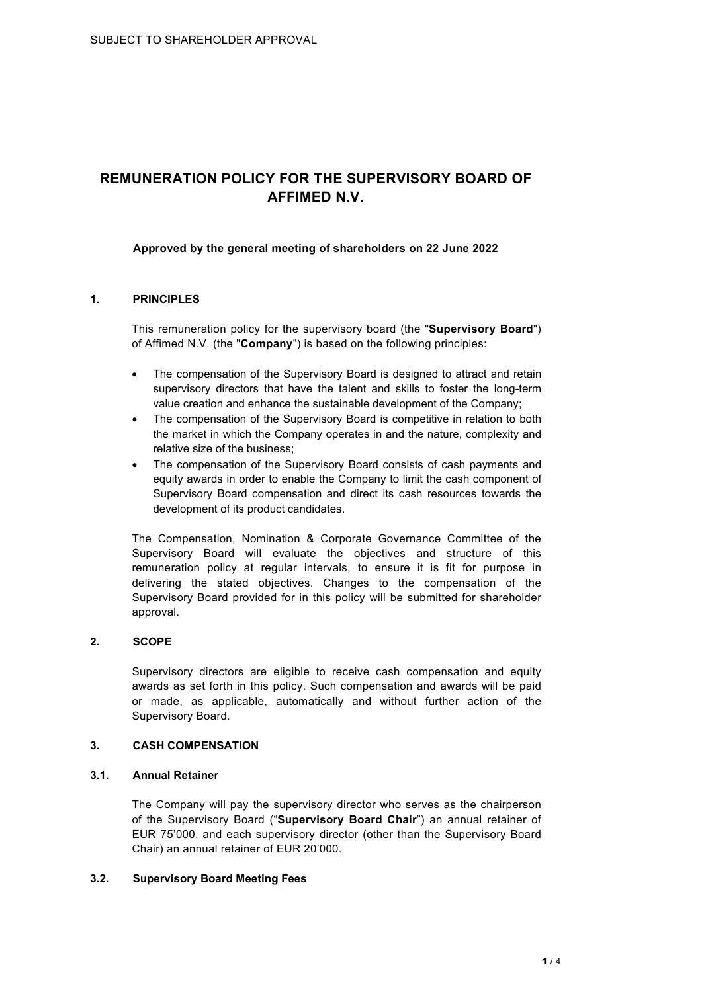# **REMUNERATION POLICY FOR THE SUPERVISORY BOARD OF AFFIMED N.V.**

## **Approved by the general meeting of shareholders on 22 June 2022**

## **1. PRINCIPLES**

This remuneration policy for the supervisory board (the "**Supervisory Board**") of Affimed N.V. (the "**Company**") is based on the following principles:

- The compensation of the Supervisory Board is designed to attract and retain supervisory directors that have the talent and skills to foster the long-term value creation and enhance the sustainable development of the Company;
- The compensation of the Supervisory Board is competitive in relation to both the market in which the Company operates in and the nature, complexity and relative size of the business;
- The compensation of the Supervisory Board consists of cash payments and equity awards in order to enable the Company to limit the cash component of Supervisory Board compensation and direct its cash resources towards the development of its product candidates.

The Compensation, Nomination & Corporate Governance Committee of the Supervisory Board will evaluate the objectives and structure of this remuneration policy at regular intervals, to ensure it is fit for purpose in delivering the stated objectives. Changes to the compensation of the Supervisory Board provided for in this policy will be submitted for shareholder approval.

## **2. SCOPE**

Supervisory directors are eligible to receive cash compensation and equity awards as set forth in this policy. Such compensation and awards will be paid or made, as applicable, automatically and without further action of the Supervisory Board.

## **3. CASH COMPENSATION**

## **3.1. Annual Retainer**

The Company will pay the supervisory director who serves as the chairperson of the Supervisory Board ("**Supervisory Board Chair**") an annual retainer of EUR 75'000, and each supervisory director (other than the Supervisory Board Chair) an annual retainer of EUR 20'000.

## **3.2. Supervisory Board Meeting Fees**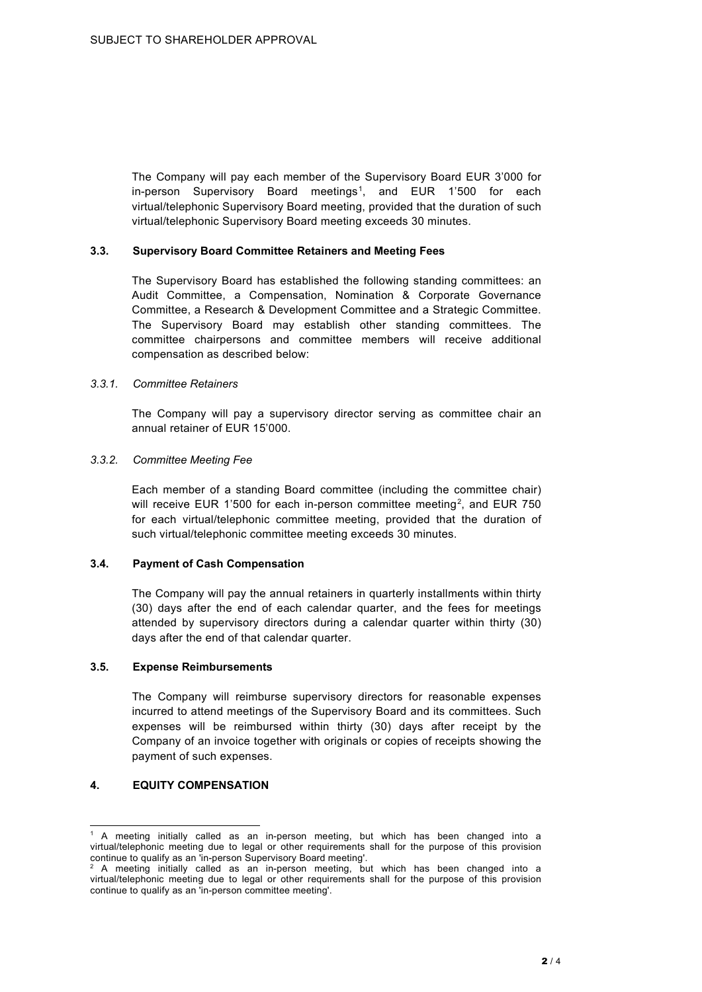The Company will pay each member of the Supervisory Board EUR 3'000 for in-person Supervisory Board meetings<sup>[1](#page-1-0)</sup>, and EUR 1'500 for each virtual/telephonic Supervisory Board meeting, provided that the duration of such virtual/telephonic Supervisory Board meeting exceeds 30 minutes.

#### **3.3. Supervisory Board Committee Retainers and Meeting Fees**

The Supervisory Board has established the following standing committees: an Audit Committee, a Compensation, Nomination & Corporate Governance Committee, a Research & Development Committee and a Strategic Committee. The Supervisory Board may establish other standing committees. The committee chairpersons and committee members will receive additional compensation as described below:

#### *3.3.1. Committee Retainers*

The Company will pay a supervisory director serving as committee chair an annual retainer of EUR 15'000.

#### *3.3.2. Committee Meeting Fee*

Each member of a standing Board committee (including the committee chair) will receive EUR 1'500 for each in-person committee meeting<sup>[2](#page-1-1)</sup>, and EUR 750 for each virtual/telephonic committee meeting, provided that the duration of such virtual/telephonic committee meeting exceeds 30 minutes.

## **3.4. Payment of Cash Compensation**

The Company will pay the annual retainers in quarterly installments within thirty (30) days after the end of each calendar quarter, and the fees for meetings attended by supervisory directors during a calendar quarter within thirty (30) days after the end of that calendar quarter.

#### **3.5. Expense Reimbursements**

The Company will reimburse supervisory directors for reasonable expenses incurred to attend meetings of the Supervisory Board and its committees. Such expenses will be reimbursed within thirty (30) days after receipt by the Company of an invoice together with originals or copies of receipts showing the payment of such expenses.

## **4. EQUITY COMPENSATION**

<span id="page-1-0"></span><sup>1</sup> A meeting initially called as an in-person meeting, but which has been changed into a virtual/telephonic meeting due to legal or other requirements shall for the purpose of this provision continue to qualify as an 'in-person Supervisory Board meeting'.

<span id="page-1-1"></span><sup>2</sup> A meeting initially called as an in-person meeting, but which has been changed into a virtual/telephonic meeting due to legal or other requirements shall for the purpose of this provision continue to qualify as an 'in-person committee meeting'.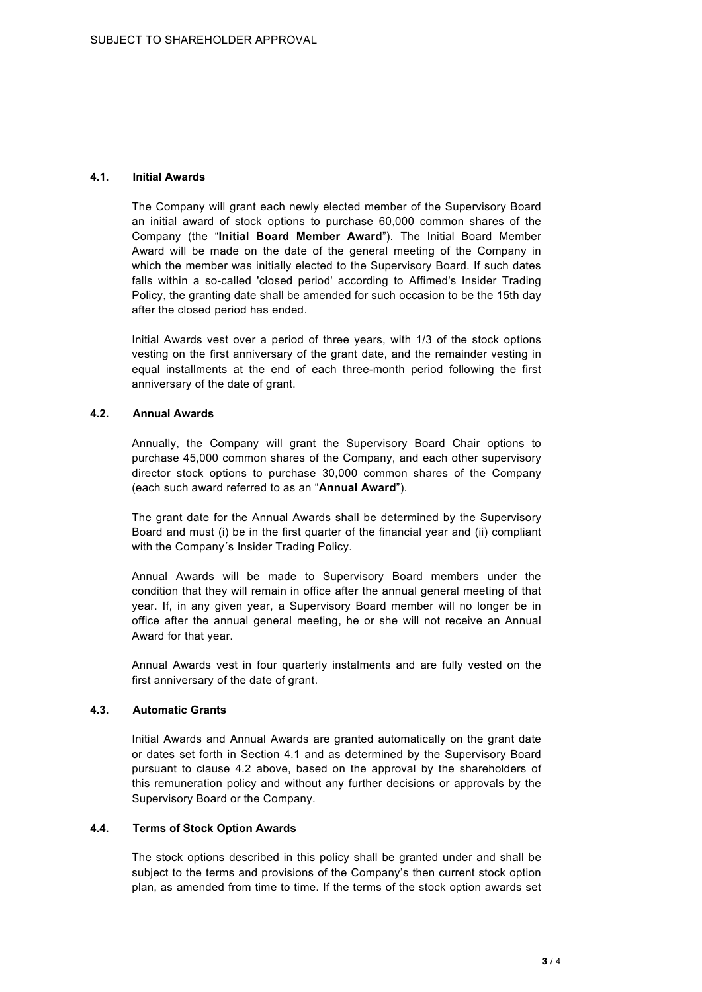## **4.1. Initial Awards**

The Company will grant each newly elected member of the Supervisory Board an initial award of stock options to purchase 60,000 common shares of the Company (the "**Initial Board Member Award**"). The Initial Board Member Award will be made on the date of the general meeting of the Company in which the member was initially elected to the Supervisory Board. If such dates falls within a so-called 'closed period' according to Affimed's Insider Trading Policy, the granting date shall be amended for such occasion to be the 15th day after the closed period has ended.

Initial Awards vest over a period of three years, with 1/3 of the stock options vesting on the first anniversary of the grant date, and the remainder vesting in equal installments at the end of each three-month period following the first anniversary of the date of grant.

## **4.2. Annual Awards**

Annually, the Company will grant the Supervisory Board Chair options to purchase 45,000 common shares of the Company, and each other supervisory director stock options to purchase 30,000 common shares of the Company (each such award referred to as an "**Annual Award**").

The grant date for the Annual Awards shall be determined by the Supervisory Board and must (i) be in the first quarter of the financial year and (ii) compliant with the Company´s Insider Trading Policy.

Annual Awards will be made to Supervisory Board members under the condition that they will remain in office after the annual general meeting of that year. If, in any given year, a Supervisory Board member will no longer be in office after the annual general meeting, he or she will not receive an Annual Award for that year.

Annual Awards vest in four quarterly instalments and are fully vested on the first anniversary of the date of grant.

## **4.3. Automatic Grants**

Initial Awards and Annual Awards are granted automatically on the grant date or dates set forth in Section 4.1 and as determined by the Supervisory Board pursuant to clause 4.2 above, based on the approval by the shareholders of this remuneration policy and without any further decisions or approvals by the Supervisory Board or the Company.

## **4.4. Terms of Stock Option Awards**

The stock options described in this policy shall be granted under and shall be subject to the terms and provisions of the Company's then current stock option plan, as amended from time to time. If the terms of the stock option awards set